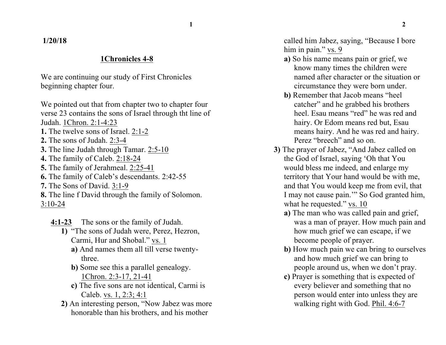## **1/20/18**

## **1Chronicles 4-8**

We are continuing our study of First Chronicles beginning chapter four.

We pointed out that from chapter two to chapter four verse 23 contains the sons of Israel through tht line of Judah. 1Chron. 2:1-4:23 **1.** The twelve sons of Israel. 2:1-2

- **2.** The sons of Judah. 2:3-4
- **3.** The line Judah through Tamar. 2:5-10
- **4.** The family of Caleb. 2:18-24
- **5.** The family of Jerahmeal. 2:25-41
- **6.** The family of Caleb's descendants. 2:42-55
- **7.** The Sons of David. 3:1-9

**8.** The line f David through the family of Solomon. 3:10-24

**4:1-23** The sons or the family of Judah.

- **1)** "The sons of Judah were, Perez, Hezron, Carmi, Hur and Shobal." vs. 1
	- **a)** And names them all till verse twentythree.
	- **b)** Some see this a parallel genealogy. 1Chron. 2:3-17, 21-41
	- **c)** The five sons are not identical, Carmi is Caleb. vs. 1, 2:3; 4:1
- **2)** An interesting person, "Now Jabez was more honorable than his brothers, and his mother

called him Jabez, saying, "Because I bore him in pain." vs. 9

- **a)** So his name means pain or grief, we know many times the children were named after character or the situation or circumstance they were born under.
- **b)** Remember that Jacob means "heel catcher" and he grabbed his brothers heel. Esau means "red" he was red and hairy. Or Edom means red but, Esau means hairy. And he was red and hairy. Perez "breech" and so on.
- **3)** The prayer of Jabez, "And Jabez called on the God of Israel, saying 'Oh that You would bless me indeed, and enlarge my territory that Your hand would be with me, and that You would keep me from evil, that I may not cause pain.'" So God granted him, what he requested." vs. 10
	- **a)** The man who was called pain and grief, was a man of prayer. How much pain and how much grief we can escape, if we become people of prayer.
	- **b)** How much pain we can bring to ourselves and how much grief we can bring to people around us, when we don't pray.
	- **c)** Prayer is something that is expected of every believer and something that no person would enter into unless they are walking right with God. Phil. 4:6-7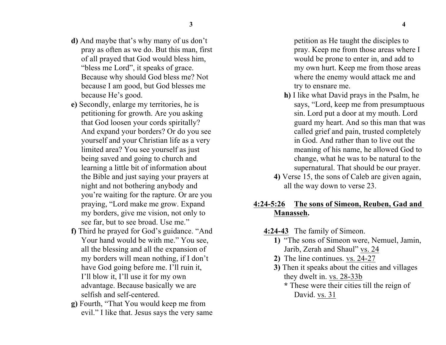- **d)** And maybe that's why many of us don't pray as often as we do. But this man, first of all prayed that God would bless him, "bless me Lord", it speaks of grace. Because why should God bless me? Not because I am good, but God blesses me because He's good.
- **e)** Secondly, enlarge my territories, he is petitioning for growth. Are you asking that God loosen your cords spiritally? And expand your borders? Or do you see yourself and your Christian life as a very limited area? You see yourself as just being saved and going to church and learning a little bit of information about the Bible and just saying your prayers at night and not bothering anybody and you're waiting for the rapture. Or are you praying, "Lord make me grow. Expand my borders, give me vision, not only to see far, but to see broad. Use me."
- **f)** Third he prayed for God's guidance. "And Your hand would be with me." You see, all the blessing and all the expansion of my borders will mean nothing, if I don't have God going before me. I'll ruin it, I'll blow it, I'll use it for my own advantage. Because basically we are selfish and self-centered.
- **g)** Fourth, "That You would keep me from evil." I like that. Jesus says the very same

petition as He taught the disciples to pray. Keep me from those areas where I would be prone to enter in, and add to my own hurt. Keep me from those areas where the enemy would attack me and try to ensnare me.

- **h)** I like what David prays in the Psalm, he says, "Lord, keep me from presumptuous sin. Lord put a door at my mouth. Lord guard my heart. And so this man that was called grief and pain, trusted completely in God. And rather than to live out the meaning of his name, he allowed God to change, what he was to be natural to the supernatural. That should be our prayer.
- **4)** Verse 15, the sons of Caleb are given again, all the way down to verse 23.

## **4:24-5:26 The sons of Simeon, Reuben, Gad and Manasseh.**

- **4:24-43** The family of Simeon.
	- **1)** "The sons of Simeon were, Nemuel, Jamin, Jarib, Zerah and Shaul" vs. 24
	- **2)** The line continues. vs. 24-27
	- **3)** Then it speaks about the cities and villages they dwelt in. vs. 28-33b
		- **\*** These were their cities till the reign of David. vs. 31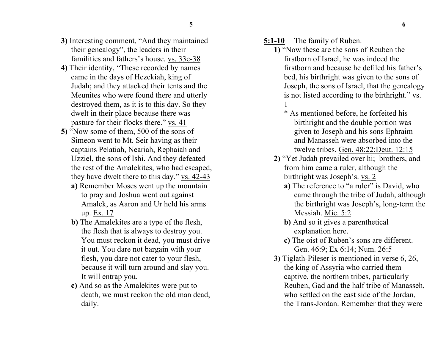- **3)** Interesting comment, "And they maintained their genealogy", the leaders in their familities and fathers's house. vs. 33c-38
- **4)** Their identity, "These recorded by names came in the days of Hezekiah, king of Judah; and they attacked their tents and the Meunites who were found there and utterly destroyed them, as it is to this day. So they dwelt in their place because there was pasture for their flocks there." vs. 41
- **5)** "Now some of them, 500 of the sons of Simeon went to Mt. Seir having as their captains Pelatiah, Neariah, Rephaiah and Uzziel, the sons of Ishi. And they defeated the rest of the Amalekites, who had escaped, they have dwelt there to this day." vs. 42-43
	- **a)** Remember Moses went up the mountain to pray and Joshua went out against Amalek, as Aaron and Ur held his arms up. Ex. 17
	- **b)** The Amalekites are a type of the flesh, the flesh that is always to destroy you. You must reckon it dead, you must drive it out. You dare not bargain with your flesh, you dare not cater to your flesh, because it will turn around and slay you. It will entrap you.
	- **c)** And so as the Amalekites were put to death, we must reckon the old man dead, daily.

**5:1-10** The family of Ruben.

- **1)** "Now these are the sons of Reuben the firstborn of Israel, he was indeed the firstborn and because he defiled his father's bed, his birthright was given to the sons of Joseph, the sons of Israel, that the genealogy is not listed according to the birthright." vs. 1
	- \* As mentioned before, he forfeited his birthright and the double portion was given to Joseph and his sons Ephraim and Manasseh were absorbed into the twelve tribes. Gen. 48:22:Deut. 12:15
- **2)** "Yet Judah prevailed over hi; brothers, and from him came a ruler, although the birthright was Joseph's. vs. 2
	- **a)** The reference to "a ruler" is David, who came through the tribe of Judah, although the birthright was Joseph's, long-term the Messiah. Mic. 5:2
	- **b)** And so it gives a parenthetical explanation here.
	- **c)** The oist of Ruben's sons are different. Gen. 46:9; Ex 6:14; Num. 26:5
- **3)** Tiglath-Pileser is mentioned in verse 6, 26, the king of Assyria who carried them captive, the northern tribes, particularly Reuben, Gad and the half tribe of Manasseh, who settled on the east side of the Jordan, the Trans-Jordan. Remember that they were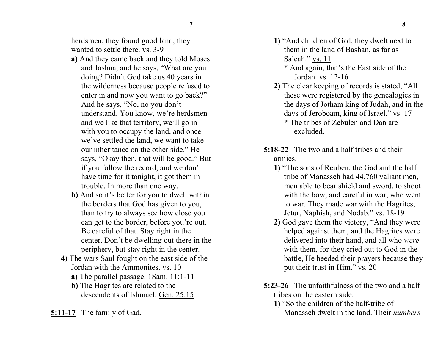herdsmen, they found good land, they wanted to settle there. vs. 3-9

- **a)** And they came back and they told Moses and Joshua, and he says, "What are you doing? Didn't God take us 40 years in the wilderness because people refused to enter in and now you want to go back?" And he says, "No, no you don't understand. You know, we're herdsmen and we like that territory, we'll go in with you to occupy the land, and once we've settled the land, we want to take our inheritance on the other side." He says, "Okay then, that will be good." But if you follow the record, and we don't have time for it tonight, it got them in trouble. In more than one way.
- **b)** And so it's better for you to dwell within the borders that God has given to you, than to try to always see how close you can get to the border, before you're out. Be careful of that. Stay right in the center. Don't be dwelling out there in the periphery, but stay right in the center.
- **4)** The wars Saul fought on the east side of the Jordan with the Ammonites. vs. 10
	- **a)** The parallel passage. 1Sam. 11:1-11
	- **b)** The Hagrites are related to the descendents of Ishmael. Gen. 25:15
- **5:11-17** The family of Gad.
- **1)** "And children of Gad, they dwelt next to them in the land of Bashan, as far as Salcah." vs. 11
	- \* And again, that's the East side of the Jordan. vs. 12-16
- **2)** The clear keeping of records is stated, "All these were registered by the genealogies in the days of Jotham king of Judah, and in the days of Jeroboam, king of Israel." vs. 17 \* The tribes of Zebulen and Dan are excluded.
- **5:18-22** The two and a half tribes and their armies.
	- **1)** "The sons of Reuben, the Gad and the half tribe of Manasseh had 44,760 valiant men, men able to bear shield and sword, to shoot with the bow, and careful in war, who went to war. They made war with the Hagrites, Jetur, Naphish, and Nodab." vs. 18-19
	- **2)** God gave them the victory, "And they were helped against them, and the Hagrites were delivered into their hand, and all who *were* with them, for they cried out to God in the battle, He heeded their prayers because they put their trust in Him." vs. 20
- **5:23-26** The unfaithfulness of the two and a half tribes on the eastern side.
	- **1)** "So the children of the half-tribe of Manasseh dwelt in the land. Their *numbers*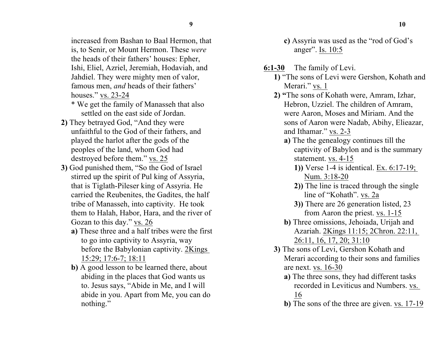increased from Bashan to Baal Hermon, that is, to Senir, or Mount Hermon. These *were* the heads of their fathers' houses: Epher, Ishi, Eliel, Azriel, Jeremiah, Hodaviah, and Jahdiel. They were mighty men of valor, famous men, *and* heads of their fathers' houses." vs. 23-24

- \* We get the family of Manasseh that also settled on the east side of Jordan.
- **2)** They betrayed God, "And they were unfaithful to the God of their fathers, and played the harlot after the gods of the peoples of the land, whom God had destroyed before them." vs. 25
- **3)** God punished them, "So the God of Israel stirred up the spirit of Pul king of Assyria, that is Tiglath-Pileser king of Assyria. He carried the Reubenites, the Gadites, the half tribe of Manasseh, into captivity. He took them to Halah, Habor, Hara, and the river of Gozan to this day." vs. 26
	- **a)** These three and a half tribes were the first to go into captivity to Assyria, way before the Babylonian captivity. 2Kings 15:29; 17:6-7; 18:11
	- **b)** A good lesson to be learned there, about abiding in the places that God wants us to. Jesus says, "Abide in Me, and I will abide in you. Apart from Me, you can do nothing."

**c)** Assyria was used as the "rod of God's anger". Is. 10:5

- **6:1-30** The family of Levi.
	- **1)** "The sons of Levi were Gershon, Kohath and Merari." vs. 1
	- **2) "**The sons of Kohath were, Amram, Izhar, Hebron, Uzziel. The children of Amram, were Aaron, Moses and Miriam. And the sons of Aaron were Nadab, Abihy, Elieazar, and Ithamar." vs. 2-3
		- **a)** The the genealogy continues till the captivity of Babylon and is the summary statement. vs. 4-15
			- **1))** Verse 1-4 is identical. Ex. 6:17-19; Num. 3:18-20
			- **2))** The line is traced through the single line of "Kohath". vs. 2a
			- **3))** There are 26 generation listed, 23 from Aaron the priest. vs. 1-15
		- **b)** Three omissions, Jehoiada, Urijah and Azariah. 2Kings 11:15; 2Chron. 22:11, 26:11, 16, 17, 20; 31:10
	- **3)** The sons of Levi, Gershon Kohath and Merari according to their sons and families are next. vs. 16-30
		- **a)** The three sons, they had different tasks recorded in Leviticus and Numbers. vs. 16
		- **b)** The sons of the three are given. vs. 17-19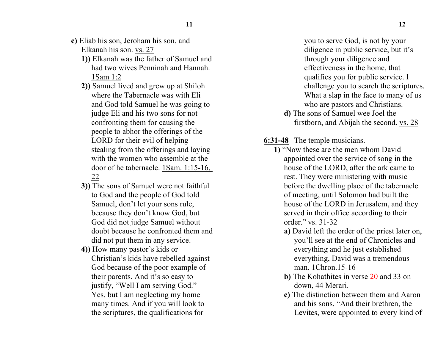- 
- **c)** Eliab his son, Jeroham his son, and Elkanah his son. vs. 27
	- **1))** Elkanah was the father of Samuel and had two wives Penninah and Hannah. 1Sam 1:2
	- **2))** Samuel lived and grew up at Shiloh where the Tabernacle was with Eli and God told Samuel he was going to judge Eli and his two sons for not confronting them for causing the people to abhor the offerings of the LORD for their evil of helping stealing from the offerings and laying with the women who assemble at the door of he tabernacle. 1Sam. 1:15-16, 22
	- **3))** The sons of Samuel were not faithful to God and the people of God told Samuel, don't let your sons rule, because they don't know God, but God did not judge Samuel without doubt because he confronted them and did not put them in any service.
	- **4))** How many pastor's kids or Christian's kids have rebelled against God because of the poor example of their parents. And it's so easy to justify, "Well I am serving God." Yes, but I am neglecting my home many times. And if you will look to the scriptures, the qualifications for

you to serve God, is not by your diligence in public service, but it's through your diligence and effectiveness in the home, that qualifies you for public service. I challenge you to search the scriptures. What a slap in the face to many of us who are pastors and Christians.

**d)** The sons of Samuel wee Joel the firstborn, and Abijah the second. vs. 28

**6:31-48** The temple musicians.

- **1)** "Now these are the men whom David appointed over the service of song in the house of the LORD, after the ark came to rest. They were ministering with music before the dwelling place of the tabernacle of meeting, until Solomon had built the house of the LORD in Jerusalem, and they served in their office according to their order." vs. 31-32
	- **a)** David left the order of the priest later on, you'll see at the end of Chronicles and everything and he just established everything, David was a tremendous man. 1Chron.15-16
	- **b)** The Kohathites in verse 20 and 33 on down, 44 Merari.
	- **c)** The distinction between them and Aaron and his sons, "And their brethren, the Levites, were appointed to every kind of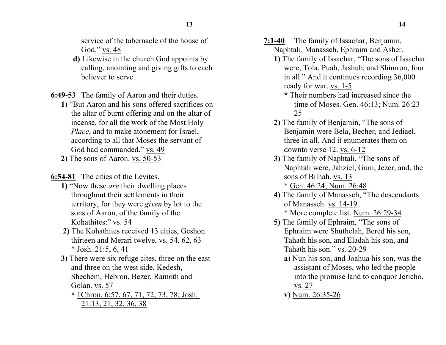service of the tabernacle of the house of God." vs. 48

**d)** Likewise in the church God appoints by calling, anointing and giving gifts to each believer to serve.

**6:49-53** The family of Aaron and their duties.

- **1)** "But Aaron and his sons offered sacrifices on the altar of burnt offering and on the altar of incense, for all the work of the Most Holy *Place*, and to make atonement for Israel, according to all that Moses the servant of God had commanded." vs. 49
- **2)** The sons of Aaron. vs. 50-53

**6:54-81** The cities of the Levites.

- **1)** "Now these *are* their dwelling places throughout their settlements in their territory, for they were *given* by lot to the sons of Aaron, of the family of the Kohathites:" vs. 54
- **2)** The Kohathites received 13 cities, Geshon thirteen and Merari twelve, vs. 54, 62, 63 \* Josh. 21:5, 6, 41
- **3)** There were six refuge cites, three on the east and three on the west side, Kedesh, Shechem, Hebron, Bezer, Ramoth and Golan. vs. 57

**\*** 1Chron. 6:57, 67, 71, 72, 73, 78; Josh. 21:13, 21, 32, 36, 38

**13 14**

- **7:1-40** The family of Issachar, Benjamin, Naphtali, Manasseh, Ephraim and Asher.
	- **1)** The family of Issachar, "The sons of Issachar were, Tola, Puah, Jashub, and Shimron, four in all." And it continues recording 36,000 ready for war. vs. 1-5
		- **\*** Their numbers had increased since the time of Moses. Gen. 46:13; Num. 26:23- 25
	- **2)** The family of Benjamin, "The sons of Benjamin were Bela, Becher, and Jediael, three in all. And it enumerates them on downto verse 12. vs. 6-12
	- **3)** The family of Naphtali, "The sons of Naphtali were, Jahziel, Guni, Jezer, and, the sons of Bilhah. vs. 13

\* Gen. 46:24; Num. 26:48

- **4)** The family of Manasseh, "The descendants of Manasseh. vs. 14-19 \* More complete list. Num. 26:29-34
- **5)** The family of Ephraim, "The sons of Ephraim were Shuthelah, Bered his son, Tahath his son, and Eladah his son, and Tahath his son." vs. 20-29
	- **a)** Nun his son, and Joahua his son, was the assistant of Moses, who led the people into the promise land to conquor Jericho. vs. 27
	- **v)** Num. 26:35-26